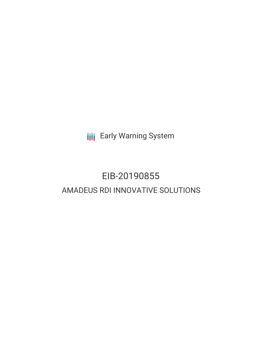**III** Early Warning System

# EIB-20190855 AMADEUS RDI INNOVATIVE SOLUTIONS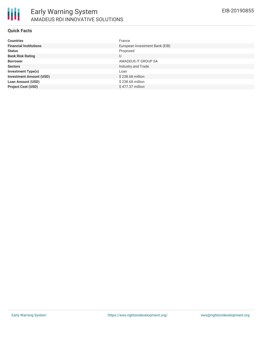

#### **Quick Facts**

| <b>Countries</b>               | France                         |
|--------------------------------|--------------------------------|
| <b>Financial Institutions</b>  | European Investment Bank (EIB) |
| <b>Status</b>                  | Proposed                       |
| <b>Bank Risk Rating</b>        | U                              |
| <b>Borrower</b>                | AMADEUS IT GROUP SA            |
| <b>Sectors</b>                 | Industry and Trade             |
| <b>Investment Type(s)</b>      | Loan                           |
| <b>Investment Amount (USD)</b> | \$238.68 million               |
| <b>Loan Amount (USD)</b>       | \$238.68 million               |
| <b>Project Cost (USD)</b>      | \$477.37 million               |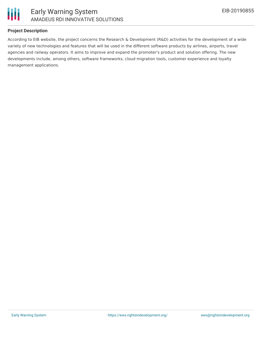

### **Project Description**

According to EIB website, the project concerns the Research & Development (R&D) activities for the development of a wide variety of new technologies and features that will be used in the different software products by airlines, airports, travel agencies and railway operators. It aims to improve and expand the promoter's product and solution offering. The new developments include, among others, software frameworks, cloud migration tools, customer experience and loyalty management applications.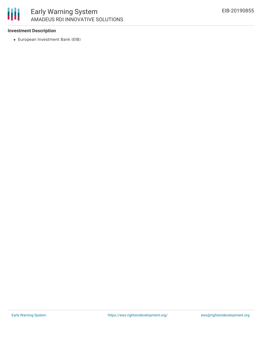

## Early Warning System AMADEUS RDI INNOVATIVE SOLUTIONS

#### **Investment Description**

European Investment Bank (EIB)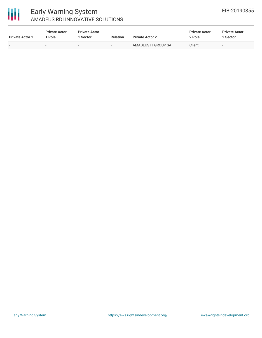

## Early Warning System AMADEUS RDI INNOVATIVE SOLUTIONS

| <b>Private Actor 1</b>   | <b>Private Actor</b><br><b>Role</b> | <b>Private Actor</b><br>Sector | <b>Relation</b>          | <b>Private Actor 2</b> | <b>Private Actor</b><br>2 Role | <b>Private Actor</b><br>2 Sector |
|--------------------------|-------------------------------------|--------------------------------|--------------------------|------------------------|--------------------------------|----------------------------------|
| $\overline{\phantom{0}}$ | $\overline{\phantom{a}}$            | $\overline{\phantom{0}}$       | $\overline{\phantom{0}}$ | AMADEUS IT GROUP SA    | Client                         | $\overline{\phantom{0}}$         |